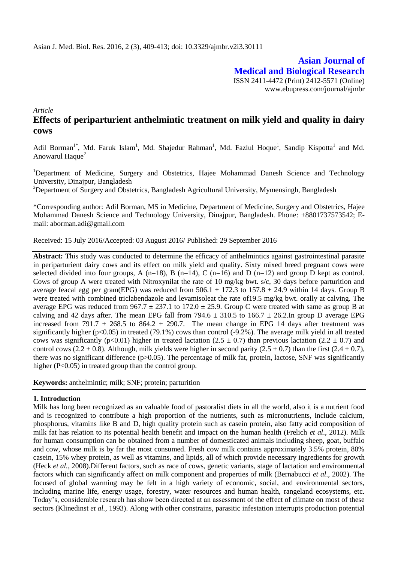**Asian Journal of Medical and Biological Research** ISSN 2411-4472 (Print) 2412-5571 (Online) www.ebupress.com/journal/ajmbr

*Article*

# **Effects of periparturient anthelmintic treatment on milk yield and quality in dairy cows**

Adil Borman<sup>1\*</sup>, Md. Faruk Islam<sup>1</sup>, Md. Shajedur Rahman<sup>1</sup>, Md. Fazlul Hoque<sup>1</sup>, Sandip Kispotta<sup>1</sup> and Md. Anowarul Haque $2$ 

<sup>1</sup>Department of Medicine, Surgery and Obstetrics, Hajee Mohammad Danesh Science and Technology University, Dinajpur, Bangladesh

<sup>2</sup>Department of Surgery and Obstetrics, Bangladesh Agricultural University, Mymensingh, Bangladesh

\*Corresponding author: Adil Borman, MS in Medicine, Department of Medicine, Surgery and Obstetrics, Hajee Mohammad Danesh Science and Technology University, Dinajpur, Bangladesh. Phone: +8801737573542; Email: [aborman.adi@gmail.com](mailto:aborman.adi@gmail.com)

Received: 15 July 2016/Accepted: 03 August 2016/ Published: 29 September 2016

**Abstract:** This study was conducted to determine the efficacy of anthelmintics against gastrointestinal parasite in periparturient dairy cows and its effect on milk yield and quality. Sixty mixed breed pregnant cows were selected divided into four groups, A (n=18), B (n=14), C (n=16) and D (n=12) and group D kept as control. Cows of group A were treated with Nitroxynilat the rate of 10 mg/kg bwt. s/c, 30 days before parturition and average feacal egg per gram(EPG) was reduced from  $506.1 \pm 172.3$  to  $157.8 \pm 24.9$  within 14 days. Group B were treated with combined triclabendazole and levamisoleat the rate of19.5 mg/kg bwt. orally at calving. The average EPG was reduced from  $967.7 \pm 237.1$  to  $172.0 \pm 25.9$ . Group C were treated with same as group B at calving and 42 days after. The mean EPG fall from 794.6  $\pm$  310.5 to 166.7  $\pm$  26.2.In group D average EPG increased from 791.7  $\pm$  268.5 to 864.2  $\pm$  290.7. The mean change in EPG 14 days after treatment was significantly higher ( $p<0.05$ ) in treated (79.1%) cows than control (-9.2%). The average milk yield in all treated cows was significantly (p<0.01) higher in treated lactation (2.5  $\pm$  0.7) than previous lactation (2.2  $\pm$  0.7) and control cows (2.2  $\pm$  0.8). Although, milk yields were higher in second parity (2.5  $\pm$  0.7) than the first (2.4  $\pm$  0.7), there was no significant difference (p>0.05). The percentage of milk fat, protein, lactose, SNF was significantly higher (P<0.05) in treated group than the control group.

**Keywords:** anthelmintic; milk; SNF; protein; parturition

## **1. Introduction**

Milk has long been recognized as an valuable food of pastoralist diets in all the world, also it is a nutrient food and is recognized to contribute a high proportion of the nutrients, such as micronutrients, include calcium, phosphorus, vitamins like B and D, high quality protein such as casein protein, also fatty acid composition of milk fat has relation to its potential health benefit and impact on the human health (Frelich *et al*., 2012). Milk for human consumption can be obtained from a number of domesticated animals including sheep, goat, buffalo and cow, whose milk is by far the most consumed. Fresh cow milk contains approximately 3.5% protein, 80% casein, 15% whey protein, as well as vitamins, and lipids, all of which provide necessary ingredients for growth (Heck *et al.*, 2008).Different factors, such as race of cows, genetic variants, stage of lactation and environmental factors which can significantly affect on milk component and properties of milk (Bernabucci *et al*., 2002). The focused of global warming may be felt in a high variety of economic, social, and environmental sectors, including marine life, energy usage, forestry, water resources and human health, rangeland ecosystems, etc. Today's, considerable research has show been directed at an assessment of the effect of climate on most of these sectors (Klinedinst *et al.*, 1993). Along with other constrains, parasitic infestation interrupts production potential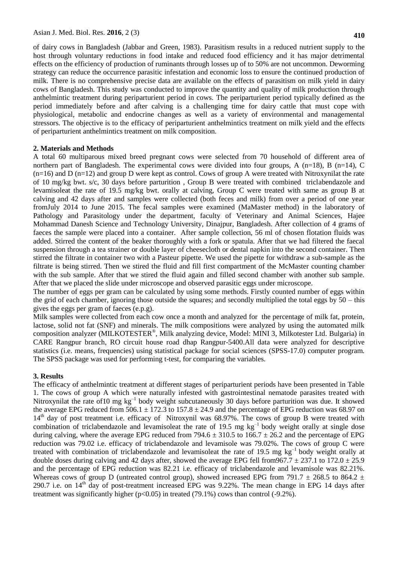of dairy cows in Bangladesh (Jabbar and Green, 1983). Parasitism results in a reduced nutrient supply to the host through voluntary reductions in food intake and reduced food efficiency and it has major detrimental effects on the efficiency of production of ruminants through losses up of to 50% are not uncommon. Deworming strategy can reduce the occurrence parasitic infestation and economic loss to ensure the continued production of milk. There is no comprehensive precise data are available on the effects of parasitism on milk yield in dairy cows of Bangladesh. This study was conducted to improve the quantity and quality of milk production through anthelmintic treatment during periparturient period in cows. The periparturient period typically defined as the period immediately before and after calving is a challenging time for dairy cattle that must cope with physiological, metabolic and endocrine changes as well as a variety of environmental and managemental stressors. The objective is to the efficacy of periparturient anthelmintics treatment on milk yield and the effects of periparturient anthelmintics treatment on milk composition.

## **2. Materials and Methods**

A total 60 multiparous mixed breed pregnant cows were selected from 70 household of different area of northern part of Bangladesh. The experimental cows were divided into four groups, A (n=18), B (n=14), C  $(n=16)$  and D  $(n=12)$  and group D were kept as control. Cows of group A were treated with Nitroxynilat the rate of 10 mg/kg bwt. s/c, 30 days before parturition , Group B were treated with combined triclabendazole and levamisoleat the rate of 19.5 mg/kg bwt. orally at calving, Group C were treated with same as group B at calving and 42 days after and samples were collected (both feces and milk) from over a period of one year fromJuly 2014 to June 2015. The fecal samples were examined (MaMaster method) in the laboratory of Pathology and Parasitology under the department, faculty of Veterinary and Animal Sciences, Hajee Mohammad Danesh Science and Technology University, Dinajpur, Bangladesh. After collection of 4 grams of faeces the sample were placed into a container. After sample collection, 56 ml of chosen flotation fluids was added. Stirred the content of the beaker thoroughly with a fork or spatula. After that we had filtered the faecal suspension through a tea strainer or double layer of cheesecloth or dental napkin into the second container. Then stirred the filtrate in container two with a Pasteur pipette. We used the pipette for withdraw a sub-sample as the filtrate is being stirred. Then we stired the fluid and fill first compartment of the McMaster counting chamber with the sub sample. After that we stired the fluid again and filled second chamber with another sub sample. After that we placed the slide under microscope and observed parasitic eggs under microscope.

The number of eggs per gram can be calculated by using some methods. Firstly counted number of eggs within the grid of each chamber, ignoring those outside the squares; and secondly multiplied the total eggs by 50 – this gives the eggs per gram of faeces (e.p.g).

Milk samples were collected from each cow once a month and analyzed for the percentage of milk fat, protein, lactose, solid not fat (SNF) and minerals. The milk compositions were analyzed by using the automated milk composition analyzer (MILKOTESTER®, Milk analyzing device, Model: MINI 3, Milkotester Ltd. Bulgaria) in CARE Rangpur branch, RO circuit house road dhap Rangpur-5400.All data were analyzed for descriptive statistics (i.e. means, frequencies) using statistical package for social sciences (SPSS-17.0) computer program. The SPSS package was used for performing t-test, for comparing the variables.

## **3. Results**

The efficacy of anthelmintic treatment at different stages of periparturient periods have been presented in Table 1. The cows of group A which were naturally infested with gastrointestinal nematode parasites treated with Nitroxynilat the rate of 10 mg kg<sup>-1</sup> body weight subcutaneously 30 days before parturition was due. It showed the average EPG reduced from 506.1  $\pm$  172.3 to 157.8  $\pm$  24.9 and the percentage of EPG reduction was 68.97 on  $14<sup>th</sup>$  day of post treatment i.e. efficacy of Nitroxynil was 68.97%. The cows of group B were treated with combination of triclabendazole and levamisoleat the rate of 19.5 mg  $kg^{-1}$  body weight orally at single dose during calving, where the average EPG reduced from 794.6  $\pm$  310.5 to 166.7  $\pm$  26.2 and the percentage of EPG reduction was 79.02 i.e. efficacy of triclabendazole and levamisole was 79.02%. The cows of group C were treated with combination of triclabendazole and levamisoleat the rate of 19.5 mg kg<sup>-1</sup> body weight orally at double doses during calving and 42 days after, showed the average EPG fell from 967.7  $\pm$  237.1 to 172.0  $\pm$  25.9 and the percentage of EPG reduction was 82.21 i.e. efficacy of triclabendazole and levamisole was 82.21%. Whereas cows of group D (untreated control group), showed increased EPG from 791.7  $\pm$  268.5 to 864.2  $\pm$ 290.7 i.e. on 14<sup>th</sup> day of post-treatment increased EPG was 9.22%. The mean change in EPG 14 days after treatment was significantly higher ( $p<0.05$ ) in treated (79.1%) cows than control (-9.2%).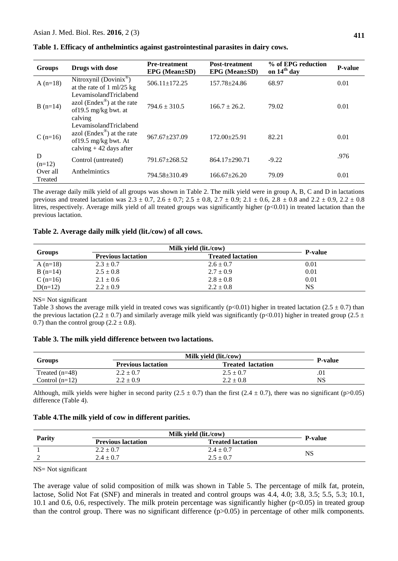| <b>Groups</b>       | Drugs with dose                                                                                                       | <b>Pre-treatment</b><br>$EPG$ (Mean $\pm SD$ ) | <b>Post-treatment</b><br>$EPG$ (Mean $\pm SD$ ) | % of EPG reduction<br>on 14 <sup>th</sup> day | <b>P-value</b> |
|---------------------|-----------------------------------------------------------------------------------------------------------------------|------------------------------------------------|-------------------------------------------------|-----------------------------------------------|----------------|
| $A(n=18)$           | Nitroxynil (Dovinix®)<br>at the rate of $1 \text{ ml}/25 \text{ kg}$                                                  | $506.11 \pm 172.25$                            | $157.78 + 24.86$                                | 68.97                                         | 0.01           |
| $B(n=14)$           | LevamisolandTriclabend<br>azol (Endex <sup>®</sup> ) at the rate<br>of 19.5 mg/kg bwt. at<br>calving                  | $794.6 \pm 310.5$                              | $166.7 \pm 26.2$                                | 79.02                                         | 0.01           |
| $C(n=16)$           | LevamisolandTriclabend<br>azol (Endex <sup>®</sup> ) at the rate<br>of 19.5 mg/kg bwt. At<br>calving $+42$ days after | $967.67 \pm 237.09$                            | $172.00 \pm 25.91$                              | 82.21                                         | 0.01           |
| D<br>$(n=12)$       | Control (untreated)                                                                                                   | $791.67 \pm 268.52$                            | $864.17 \pm 290.71$                             | $-9.22$                                       | .976           |
| Over all<br>Treated | Anthelmintics                                                                                                         | 794.58±310.49                                  | $166.67 + 26.20$                                | 79.09                                         | 0.01           |

|  |  | Table 1. Efficacy of anthelmintics against gastrointestinal parasites in dairy cows. |  |
|--|--|--------------------------------------------------------------------------------------|--|
|  |  |                                                                                      |  |

The average daily milk yield of all groups was shown in Table 2. The milk yield were in group A, B, C and D in lactations previous and treated lactation was  $2.3 \pm 0.7$ ,  $2.6 \pm 0.7$ ;  $2.5 \pm 0.8$ ,  $2.7 \pm 0.9$ ;  $2.1 \pm 0.6$ ,  $2.8 \pm 0.8$  and  $2.2 \pm 0.9$ ,  $2.2 \pm 0.8$ litres, respectively. Average milk yield of all treated groups was significantly higher (p<0.01) in treated lactation than the previous lactation.

#### **Table 2. Average daily milk yield (lit./cow) of all cows.**

|               | Milk yield (lit./cow)     |                          |                |
|---------------|---------------------------|--------------------------|----------------|
| <b>Groups</b> | <b>Previous lactation</b> | <b>Treated lactation</b> | <b>P-value</b> |
| A $(n=18)$    | $2.3 \pm 0.7$             | $2.6 \pm 0.7$            | 0.01           |
| $B(n=14)$     | $2.5 \pm 0.8$             | $2.7 \pm 0.9$            | 0.01           |
| C $(n=16)$    | $2.1 \pm 0.6$             | $2.8 \pm 0.8$            | 0.01           |
| $D(n=12)$     | $2.2 \pm 0.9$             | $2.2 \pm 0.8$            | NS             |

#### NS= Not significant

Table 3 shows the average milk yield in treated cows was significantly ( $p<0.01$ ) higher in treated lactation (2.5  $\pm$  0.7) than the previous lactation (2.2 ± 0.7) and similarly average milk yield was significantly (p<0.01) higher in treated group (2.5 ± 0.7) than the control group  $(2.2 \pm 0.8)$ .

## **Table 3. The milk yield difference between two lactations.**

|                  | Milk yield (lit./cow)     |                          |                |  |
|------------------|---------------------------|--------------------------|----------------|--|
| <b>Groups</b>    | <b>Previous lactation</b> | <b>Treated lactation</b> | <b>P-value</b> |  |
| Treated $(n=48)$ | $2.2 \pm 0.7$             | $2.5 \pm 0.7$            | .01            |  |
| Control $(n=12)$ | $2.2 \pm 0.9$             | $2.2 \pm 0.8$            | NS             |  |

Although, milk yields were higher in second parity ( $2.5 \pm 0.7$ ) than the first ( $2.4 \pm 0.7$ ), there was no significant (p>0.05) difference (Table 4).

#### **Table 4.The milk yield of cow in different parities.**

|               | Milk yield (lit./cow)     |                          |                |
|---------------|---------------------------|--------------------------|----------------|
| <b>Parity</b> | <b>Previous lactation</b> | <b>Treated lactation</b> | <b>P-value</b> |
|               | $2.2 \pm 0.7$             | $2.4 \pm 0.7$            |                |
|               | $2.4 \pm 0.7$             | $2.5 \pm 0.7$            | NS             |

## NS= Not significant

The average value of solid composition of milk was shown in Table 5. The percentage of milk fat, protein, lactose, Solid Not Fat (SNF) and minerals in treated and control groups was 4.4, 4.0; 3.8, 3.5; 5.5, 5.3; 10.1, 10.1 and 0.6, 0.6, respectively. The milk protein percentage was significantly higher (p<0.05) in treated group than the control group. There was no significant difference (p>0.05) in percentage of other milk components.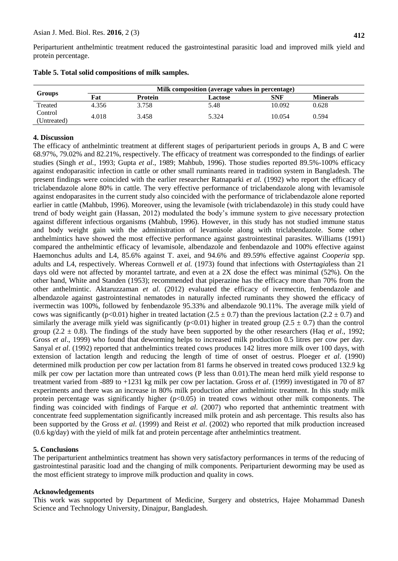Periparturient anthelmintic treatment reduced the gastrointestinal parasitic load and improved milk yield and protein percentage.

|                        | Milk composition (average values in percentage) |         |         |        |                 |  |  |
|------------------------|-------------------------------------------------|---------|---------|--------|-----------------|--|--|
| <b>Groups</b>          | Fat                                             | Protein | Lactose | SNF    | <b>Minerals</b> |  |  |
| Treated                | 4.356                                           | 3.758   | 5.48    | 10.092 | 0.628           |  |  |
| Control<br>(Untreated) | 4.018                                           | 3.458   | 5.324   | 10.054 | 0.594           |  |  |

| Table 5. Total solid compositions of milk samples. |  |  |  |  |  |  |  |  |
|----------------------------------------------------|--|--|--|--|--|--|--|--|
|----------------------------------------------------|--|--|--|--|--|--|--|--|

## **4. Discussion**

The efficacy of anthelmintic treatment at different stages of periparturient periods in groups A, B and C were 68.97%, 79.02% and 82.21%, respectively. The efficacy of treatment was corresponded to the findings of earlier studies (Singh *et al.*, 1993; Gupta *et al*., 1989; Mahbub, 1996). Those studies reported 89.5%-100% efficacy against endoparasitic infection in cattle or other small ruminants reared in tradition system in Bangladesh. The present findings were coincided with the earlier researcher Ratnaparki *et al.* (1992) who report the efficacy of triclabendazole alone 80% in cattle. The very effective performance of triclabendazole along with levamisole against endoparasites in the current study also coincided with the performance of triclabendazole alone reported earlier in cattle (Mahbub, 1996). Moreover, using the levamisole (with triclabendazole) in this study could have trend of body weight gain (Hassan, 2012) modulated the body's immune system to give necessary protection against different infectious organisms (Mahbub, 1996). However, in this study has not studied immune status and body weight gain with the administration of levamisole along with triclabendazole. Some other anthelmintics have showed the most effective performance against gastrointestinal parasites. [Williams](http://www.ncbi.nlm.nih.gov/pubmed?term=Williams%20JC%5BAuthor%5D&cauthor=true&cauthor_uid=1763491) (1991) compared the anthelmintic efficacy of levamisole, albendazole and fenbendazole and 100% effective against Haemonchus adults and L4, 85.6% against T. axei, and 94.6% and 89.59% effective against *Cooperia* spp. adults and L4, respectively. Whereas Cornwell *et al.* (1973) found that infections with *Ostertagia*less than 21 days old were not affected by morantel tartrate, and even at a 2X dose the effect was minimal (52%). On the other hand, White and Standen (1953); recommended that piperazine has the efficacy more than 70% from the other anthelmintic. Aktaruzzaman *et al*. (2012) evaluated the efficacy of ivermectin, fenbendazole and albendazole against gastrointestinal nematodes in naturally infected ruminants they showed the efficacy of ivermectin was 100%, followed by fenbendazole 95.33% and albendazole 90.11%. The average milk yield of cows was significantly (p<0.01) higher in treated lactation (2.5  $\pm$  0.7) than the previous lactation (2.2  $\pm$  0.7) and similarly the average milk yield was significantly ( $p<0.01$ ) higher in treated group (2.5  $\pm$  0.7) than the control group (2.2  $\pm$  0.8). The findings of the study have been supported by the other researchers (Haq *et al.*, 1992; Gross *et al.*, 1999) who found that deworming helps to increased milk production 0.5 litres per cow per day. Sanyal *et al.* (1992) reported that anthelmintics treated cows produces 142 litres more milk over 100 days, with extension of lactation length and reducing the length of time of onset of oestrus. Ploeger *et al*. (1990) determined milk production per cow per lactation from 81 farms he observed in treated cows produced 132.9 kg milk per cow per lactation more than untreated cows (P less than 0.01).The mean herd milk yield response to treatment varied from -889 to +1231 kg milk per cow per lactation. [Gross](http://veterinaryrecord.bmj.com/search?author1=S.+J.+Gross&sortspec=date&submit=Submit) *et al*. (1999) investigated in 70 of 87 experiments and there was an increase in 80% milk production after anthelmintic treatment. In this study milk protein percentage was significantly higher  $(p<0.05)$  in treated cows without other milk components. The finding was coincided with findings of Farque *et al*. (2007) who reported that anthemintic treatment with concentrate feed supplementation significantly increased milk protein and ash percentage. This results also has been supported by the Gross *et al*. (1999) and Reist *et al*. (2002) who reported that milk production increased (0.6 kg/day) with the yield of milk fat and protein percentage after anthelmintics treatment.

## **5. Conclusions**

The periparturient anthelmintics treatment has shown very satisfactory performances in terms of the reducing of gastrointestinal parasitic load and the changing of milk components. Periparturient deworming may be used as the most efficient strategy to improve milk production and quality in cows.

## **Acknowledgements**

This work was supported by Department of Medicine, Surgery and obstetrics, Hajee Mohammad Danesh Science and Technology University, Dinajpur, Bangladesh.